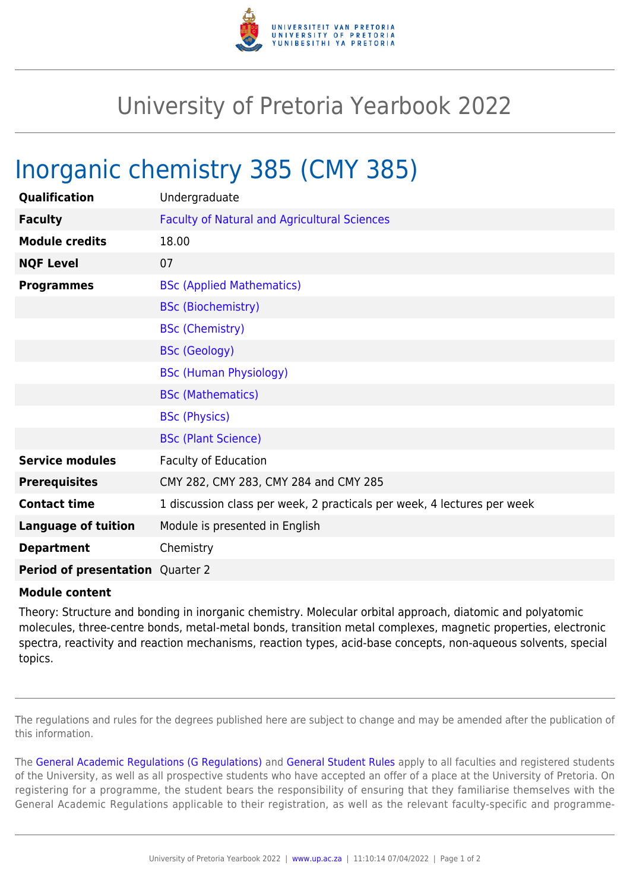

## University of Pretoria Yearbook 2022

## Inorganic chemistry 385 (CMY 385)

| Qualification                           | Undergraduate                                                           |
|-----------------------------------------|-------------------------------------------------------------------------|
| <b>Faculty</b>                          | <b>Faculty of Natural and Agricultural Sciences</b>                     |
| <b>Module credits</b>                   | 18.00                                                                   |
| <b>NQF Level</b>                        | 07                                                                      |
| <b>Programmes</b>                       | <b>BSc (Applied Mathematics)</b>                                        |
|                                         | <b>BSc (Biochemistry)</b>                                               |
|                                         | <b>BSc (Chemistry)</b>                                                  |
|                                         | <b>BSc (Geology)</b>                                                    |
|                                         | <b>BSc (Human Physiology)</b>                                           |
|                                         | <b>BSc (Mathematics)</b>                                                |
|                                         | <b>BSc (Physics)</b>                                                    |
|                                         | <b>BSc (Plant Science)</b>                                              |
| <b>Service modules</b>                  | <b>Faculty of Education</b>                                             |
| <b>Prerequisites</b>                    | CMY 282, CMY 283, CMY 284 and CMY 285                                   |
| <b>Contact time</b>                     | 1 discussion class per week, 2 practicals per week, 4 lectures per week |
| <b>Language of tuition</b>              | Module is presented in English                                          |
| <b>Department</b>                       | Chemistry                                                               |
| <b>Period of presentation</b> Quarter 2 |                                                                         |

## **Module content**

Theory: Structure and bonding in inorganic chemistry. Molecular orbital approach, diatomic and polyatomic molecules, three-centre bonds, metal-metal bonds, transition metal complexes, magnetic properties, electronic spectra, reactivity and reaction mechanisms, reaction types, acid-base concepts, non-aqueous solvents, special topics.

The regulations and rules for the degrees published here are subject to change and may be amended after the publication of this information.

The [General Academic Regulations \(G Regulations\)](https://www.up.ac.za/mechanical-and-aeronautical-engineering/yearbooks/2022/rules/view/REG) and [General Student Rules](https://www.up.ac.za/mechanical-and-aeronautical-engineering/yearbooks/2022/rules/view/RUL) apply to all faculties and registered students of the University, as well as all prospective students who have accepted an offer of a place at the University of Pretoria. On registering for a programme, the student bears the responsibility of ensuring that they familiarise themselves with the General Academic Regulations applicable to their registration, as well as the relevant faculty-specific and programme-